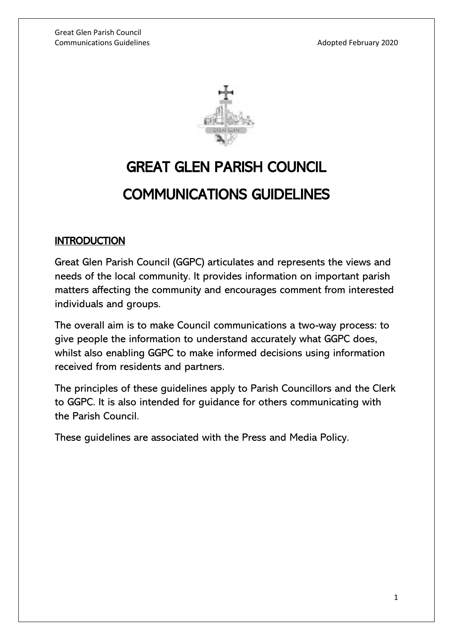

# GREAT GLEN PARISH COUNCIL COMMUNICATIONS GUIDELINES

## **INTRODUCTION**

Great Glen Parish Council (GGPC) articulates and represents the views and needs of the local community. It provides information on important parish matters affecting the community and encourages comment from interested individuals and groups.

The overall aim is to make Council communications a two-way process: to give people the information to understand accurately what GGPC does, whilst also enabling GGPC to make informed decisions using information received from residents and partners.

The principles of these guidelines apply to Parish Councillors and the Clerk to GGPC. It is also intended for guidance for others communicating with the Parish Council.

These guidelines are associated with the Press and Media Policy.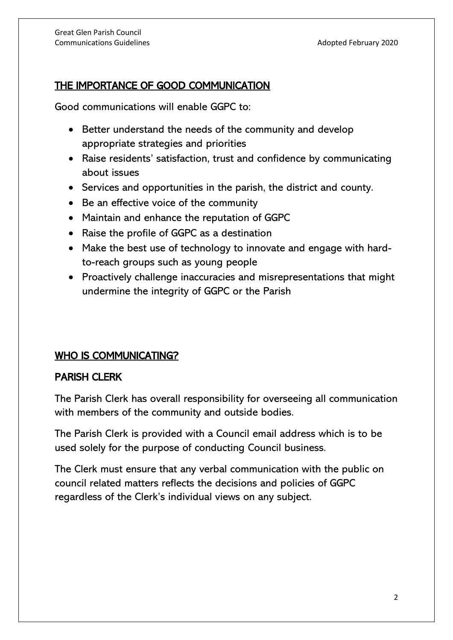## THE IMPORTANCE OF GOOD COMMUNICATION

Good communications will enable GGPC to:

- Better understand the needs of the community and develop appropriate strategies and priorities
- Raise residents' satisfaction, trust and confidence by communicating about issues
- Services and opportunities in the parish, the district and county.
- Be an effective voice of the community
- Maintain and enhance the reputation of GGPC
- Raise the profile of GGPC as a destination
- Make the best use of technology to innovate and engage with hardto-reach groups such as young people
- Proactively challenge inaccuracies and misrepresentations that might undermine the integrity of GGPC or the Parish

## WHO IS COMMUNICATING?

## PARISH CLERK

The Parish Clerk has overall responsibility for overseeing all communication with members of the community and outside bodies.

The Parish Clerk is provided with a Council email address which is to be used solely for the purpose of conducting Council business.

The Clerk must ensure that any verbal communication with the public on council related matters reflects the decisions and policies of GGPC regardless of the Clerk's individual views on any subject.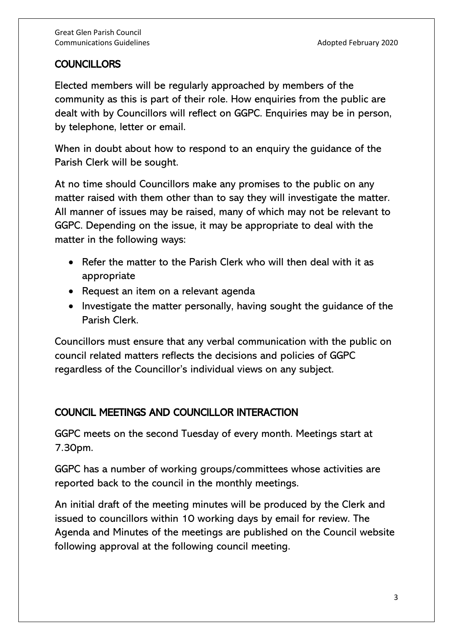## COUNCILLORS

Elected members will be regularly approached by members of the community as this is part of their role. How enquiries from the public are dealt with by Councillors will reflect on GGPC. Enquiries may be in person, by telephone, letter or email.

When in doubt about how to respond to an enquiry the guidance of the Parish Clerk will be sought.

At no time should Councillors make any promises to the public on any matter raised with them other than to say they will investigate the matter. All manner of issues may be raised, many of which may not be relevant to GGPC. Depending on the issue, it may be appropriate to deal with the matter in the following ways:

- Refer the matter to the Parish Clerk who will then deal with it as appropriate
- Request an item on a relevant agenda
- Investigate the matter personally, having sought the guidance of the Parish Clerk.

Councillors must ensure that any verbal communication with the public on council related matters reflects the decisions and policies of GGPC regardless of the Councillor's individual views on any subject.

# COUNCIL MEETINGS AND COUNCILLOR INTERACTION

GGPC meets on the second Tuesday of every month. Meetings start at 7.30pm.

GGPC has a number of working groups/committees whose activities are reported back to the council in the monthly meetings.

An initial draft of the meeting minutes will be produced by the Clerk and issued to councillors within 10 working days by email for review. The Agenda and Minutes of the meetings are published on the Council website following approval at the following council meeting.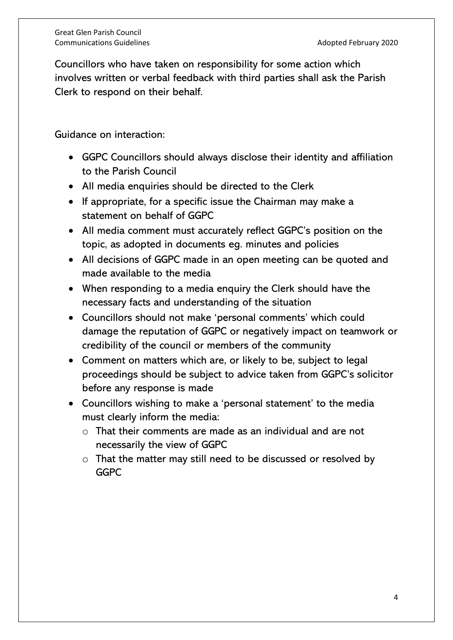Councillors who have taken on responsibility for some action which involves written or verbal feedback with third parties shall ask the Parish Clerk to respond on their behalf.

Guidance on interaction:

- GGPC Councillors should always disclose their identity and affiliation to the Parish Council
- All media enquiries should be directed to the Clerk
- If appropriate, for a specific issue the Chairman may make a statement on behalf of GGPC
- All media comment must accurately reflect GGPC's position on the topic, as adopted in documents eg. minutes and policies
- All decisions of GGPC made in an open meeting can be quoted and made available to the media
- When responding to a media enquiry the Clerk should have the necessary facts and understanding of the situation
- Councillors should not make 'personal comments' which could damage the reputation of GGPC or negatively impact on teamwork or credibility of the council or members of the community
- Comment on matters which are, or likely to be, subject to legal proceedings should be subject to advice taken from GGPC's solicitor before any response is made
- Councillors wishing to make a 'personal statement' to the media must clearly inform the media:
	- $\circ$  That their comments are made as an individual and are not necessarily the view of GGPC
	- o That the matter may still need to be discussed or resolved by GGPC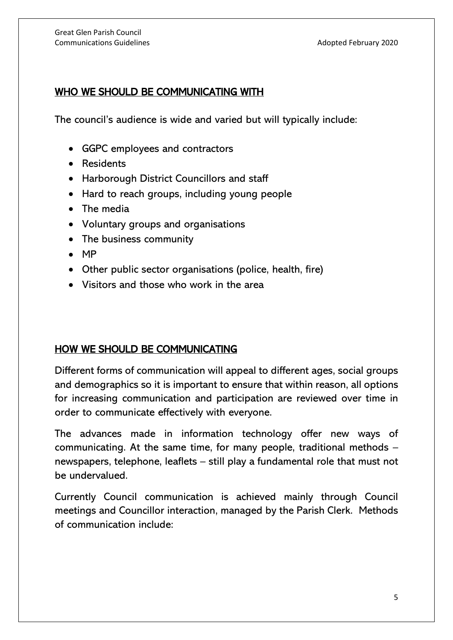# WHO WE SHOULD BE COMMUNICATING WITH

The council's audience is wide and varied but will typically include:

- GGPC employees and contractors
- Residents
- Harborough District Councillors and staff
- Hard to reach groups, including young people
- The media
- Voluntary groups and organisations
- The business community
- MP
- Other public sector organisations (police, health, fire)
- Visitors and those who work in the area

## HOW WE SHOULD BE COMMUNICATING

Different forms of communication will appeal to different ages, social groups and demographics so it is important to ensure that within reason, all options for increasing communication and participation are reviewed over time in order to communicate effectively with everyone.

The advances made in information technology offer new ways of communicating. At the same time, for many people, traditional methods – newspapers, telephone, leaflets – still play a fundamental role that must not be undervalued.

Currently Council communication is achieved mainly through Council meetings and Councillor interaction, managed by the Parish Clerk. Methods of communication include: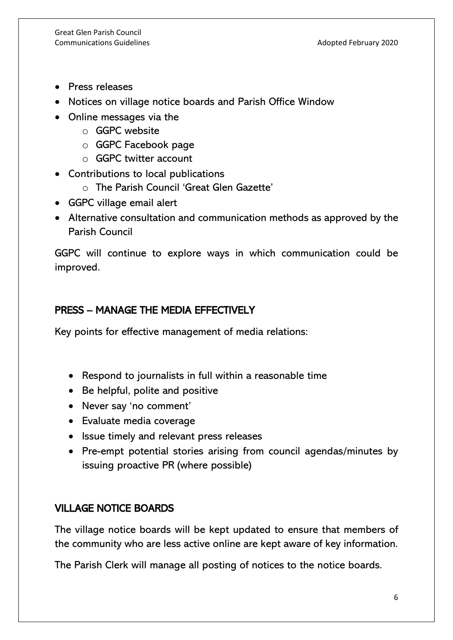- Press releases
- Notices on village notice boards and Parish Office Window
- Online messages via the
	- o GGPC website
	- o GGPC Facebook page
	- o GGPC twitter account
- Contributions to local publications
	- o The Parish Council 'Great Glen Gazette'
- GGPC village email alert
- Alternative consultation and communication methods as approved by the Parish Council

GGPC will continue to explore ways in which communication could be improved.

# PRESS – MANAGE THE MEDIA EFFECTIVELY

Key points for effective management of media relations:

- Respond to journalists in full within a reasonable time
- Be helpful, polite and positive
- Never say 'no comment'
- Evaluate media coverage
- Issue timely and relevant press releases
- Pre-empt potential stories arising from council agendas/minutes by issuing proactive PR (where possible)

## VILLAGE NOTICE BOARDS

The village notice boards will be kept updated to ensure that members of the community who are less active online are kept aware of key information.

The Parish Clerk will manage all posting of notices to the notice boards.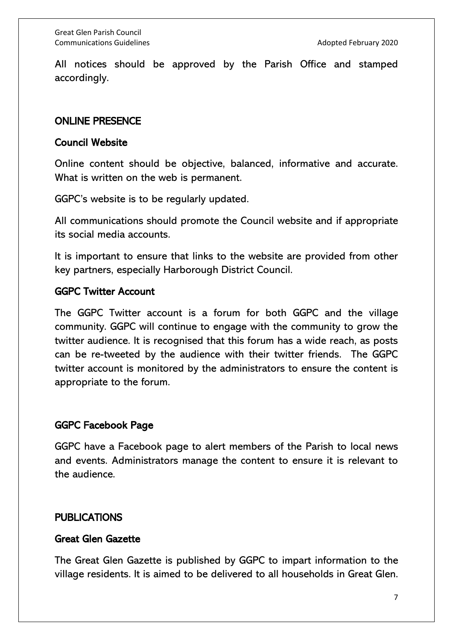All notices should be approved by the Parish Office and stamped accordingly.

#### ONLINE PRESENCE

#### Council Website

Online content should be objective, balanced, informative and accurate. What is written on the web is permanent.

GGPC's website is to be regularly updated.

All communications should promote the Council website and if appropriate its social media accounts.

It is important to ensure that links to the website are provided from other key partners, especially Harborough District Council.

#### GGPC Twitter Account

The GGPC Twitter account is a forum for both GGPC and the village community. GGPC will continue to engage with the community to grow the twitter audience. It is recognised that this forum has a wide reach, as posts can be re-tweeted by the audience with their twitter friends. The GGPC twitter account is monitored by the administrators to ensure the content is appropriate to the forum.

#### GGPC Facebook Page

GGPC have a Facebook page to alert members of the Parish to local news and events. Administrators manage the content to ensure it is relevant to the audience.

#### **PUBLICATIONS**

#### Great Glen Gazette

The Great Glen Gazette is published by GGPC to impart information to the village residents. It is aimed to be delivered to all households in Great Glen.